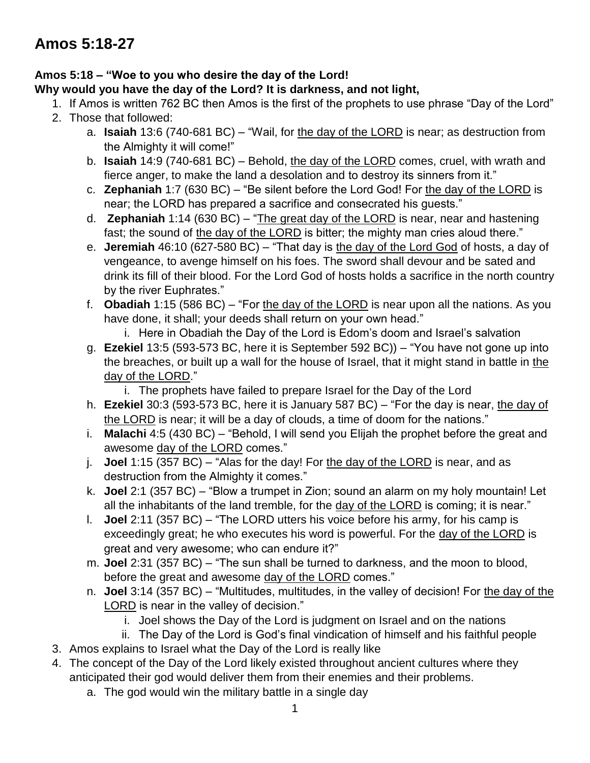# **Amos 5:18 – "Woe to you who desire the day of the Lord!**

### **Why would you have the day of the Lord? It is darkness, and not light,**

- 1. If Amos is written 762 BC then Amos is the first of the prophets to use phrase "Day of the Lord"
- 2. Those that followed:
	- a. **Isaiah** 13:6 (740-681 BC) "Wail, for the day of the LORD is near; as destruction from the Almighty it will come!"
	- b. **Isaiah** 14:9 (740-681 BC) Behold, the day of the LORD comes, cruel, with wrath and fierce anger, to make the land a desolation and to destroy its sinners from it."
	- c. **Zephaniah** 1:7 (630 BC) "Be silent before the Lord God! For the day of the LORD is near; the LORD has prepared a sacrifice and consecrated his guests."
	- d. **Zephaniah** 1:14 (630 BC) "The great day of the LORD is near, near and hastening fast; the sound of the day of the LORD is bitter; the mighty man cries aloud there."
	- e. **Jeremiah** 46:10 (627-580 BC) "That day is the day of the Lord God of hosts, a day of vengeance, to avenge himself on his foes. The sword shall devour and be sated and drink its fill of their blood. For the Lord God of hosts holds a sacrifice in the north country by the river Euphrates."
	- f. **Obadiah** 1:15 (586 BC) "For the day of the LORD is near upon all the nations. As you have done, it shall; your deeds shall return on your own head."
		- i. Here in Obadiah the Day of the Lord is Edom's doom and Israel's salvation
	- g. **Ezekiel** 13:5 (593-573 BC, here it is September 592 BC)) "You have not gone up into the breaches, or built up a wall for the house of Israel, that it might stand in battle in the day of the LORD."
		- i. The prophets have failed to prepare Israel for the Day of the Lord
	- h. **Ezekiel** 30:3 (593-573 BC, here it is January 587 BC) "For the day is near, the day of the LORD is near; it will be a day of clouds, a time of doom for the nations."
	- i. **Malachi** 4:5 (430 BC) "Behold, I will send you Elijah the prophet before the great and awesome day of the LORD comes."
	- j. **Joel** 1:15 (357 BC) "Alas for the day! For the day of the LORD is near, and as destruction from the Almighty it comes."
	- k. **Joel** 2:1 (357 BC) "Blow a trumpet in Zion; sound an alarm on my holy mountain! Let all the inhabitants of the land tremble, for the day of the LORD is coming; it is near."
	- l. **Joel** 2:11 (357 BC) "The LORD utters his voice before his army, for his camp is exceedingly great; he who executes his word is powerful. For the day of the LORD is great and very awesome; who can endure it?"
	- m. **Joel** 2:31 (357 BC) "The sun shall be turned to darkness, and the moon to blood, before the great and awesome day of the LORD comes."
	- n. **Joel** 3:14 (357 BC) "Multitudes, multitudes, in the valley of decision! For the day of the LORD is near in the valley of decision."
		- i. Joel shows the Day of the Lord is judgment on Israel and on the nations
	- ii. The Day of the Lord is God's final vindication of himself and his faithful people
- 3. Amos explains to Israel what the Day of the Lord is really like
- 4. The concept of the Day of the Lord likely existed throughout ancient cultures where they anticipated their god would deliver them from their enemies and their problems.
	- a. The god would win the military battle in a single day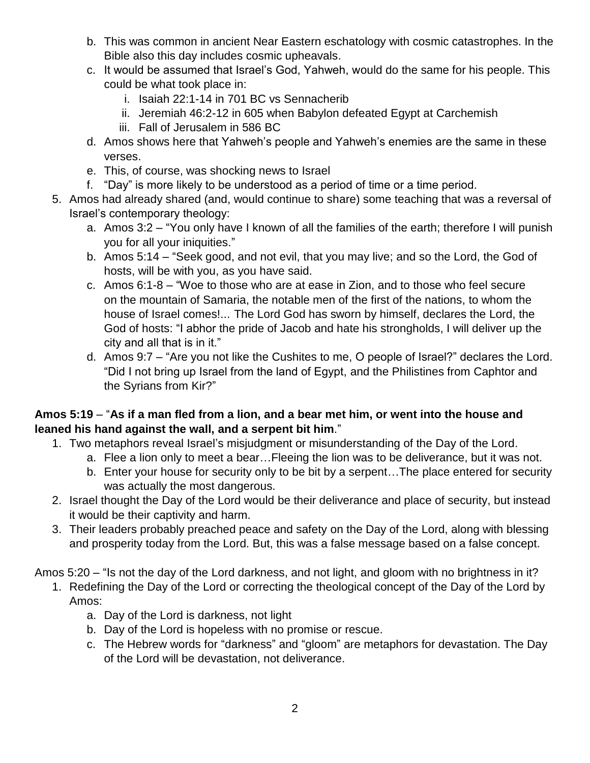- b. This was common in ancient Near Eastern eschatology with cosmic catastrophes. In the Bible also this day includes cosmic upheavals.
- c. It would be assumed that Israel's God, Yahweh, would do the same for his people. This could be what took place in:
	- i. Isaiah 22:1-14 in 701 BC vs Sennacherib
	- ii. Jeremiah 46:2-12 in 605 when Babylon defeated Egypt at Carchemish
	- iii. Fall of Jerusalem in 586 BC
- d. Amos shows here that Yahweh's people and Yahweh's enemies are the same in these verses.
- e. This, of course, was shocking news to Israel
- f. "Day" is more likely to be understood as a period of time or a time period.
- 5. Amos had already shared (and, would continue to share) some teaching that was a reversal of Israel's contemporary theology:
	- a. Amos 3:2 "You only have I known of all the families of the earth; therefore I will punish you for all your iniquities."
	- b. Amos 5:14 "Seek good, and not evil, that you may live; and so the Lord, the God of hosts, will be with you, as you have said.
	- c. Amos 6:1-8 "Woe to those who are at ease in Zion, and to those who feel secure on the mountain of Samaria, the notable men of the first of the nations, to whom the house of Israel comes!... The Lord God has sworn by himself, declares the Lord, the God of hosts: "I abhor the pride of Jacob and hate his strongholds, I will deliver up the city and all that is in it."
	- d. Amos 9:7 "Are you not like the Cushites to me, O people of Israel?" declares the Lord. "Did I not bring up Israel from the land of Egypt, and the Philistines from Caphtor and the Syrians from Kir?"

### **Amos 5:19** – "**As if a man fled from a lion, and a bear met him, or went into the house and leaned his hand against the wall, and a serpent bit him**."

- 1. Two metaphors reveal Israel's misjudgment or misunderstanding of the Day of the Lord.
	- a. Flee a lion only to meet a bear…Fleeing the lion was to be deliverance, but it was not.
	- b. Enter your house for security only to be bit by a serpent…The place entered for security was actually the most dangerous.
- 2. Israel thought the Day of the Lord would be their deliverance and place of security, but instead it would be their captivity and harm.
- 3. Their leaders probably preached peace and safety on the Day of the Lord, along with blessing and prosperity today from the Lord. But, this was a false message based on a false concept.
- Amos 5:20 "Is not the day of the Lord darkness, and not light, and gloom with no brightness in it?
	- 1. Redefining the Day of the Lord or correcting the theological concept of the Day of the Lord by Amos:
		- a. Day of the Lord is darkness, not light
		- b. Day of the Lord is hopeless with no promise or rescue.
		- c. The Hebrew words for "darkness" and "gloom" are metaphors for devastation. The Day of the Lord will be devastation, not deliverance.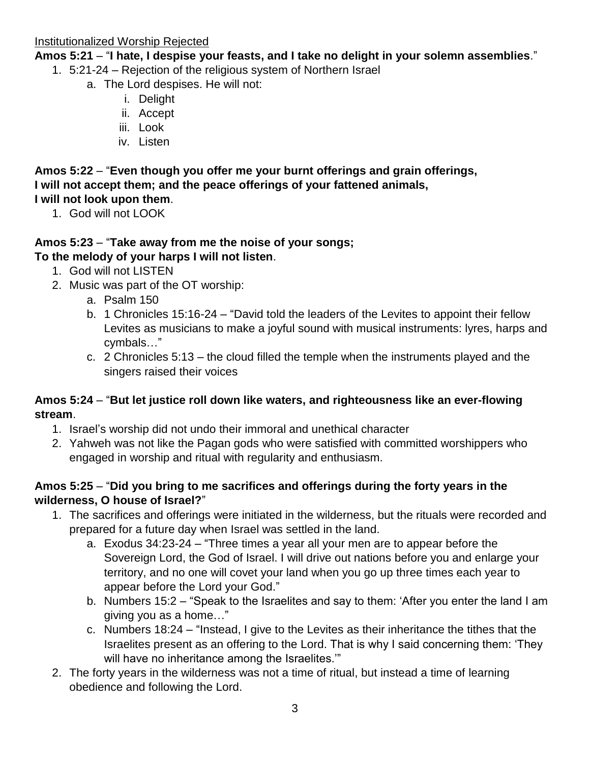**Amos 5:21** – "**I hate, I despise your feasts, and I take no delight in your solemn assemblies**."

- 1. 5:21-24 Rejection of the religious system of Northern Israel
	- a. The Lord despises. He will not:
		- i. Delight
		- ii. Accept
		- iii. Look
		- iv. Listen

**Amos 5:22** – "**Even though you offer me your burnt offerings and grain offerings, I will not accept them; and the peace offerings of your fattened animals, I will not look upon them**.

1. God will not LOOK

#### **Amos 5:23** – "**Take away from me the noise of your songs; To the melody of your harps I will not listen**.

- 1. God will not LISTEN
- 2. Music was part of the OT worship:
	- a. Psalm 150
	- b. 1 Chronicles 15:16-24 "David told the leaders of the Levites to appoint their fellow Levites as musicians to make a joyful sound with musical instruments: lyres, harps and cymbals…"
	- c. 2 Chronicles 5:13 the cloud filled the temple when the instruments played and the singers raised their voices

# **Amos 5:24** – "**But let justice roll down like waters, and righteousness like an ever-flowing stream**.

- 1. Israel's worship did not undo their immoral and unethical character
- 2. Yahweh was not like the Pagan gods who were satisfied with committed worshippers who engaged in worship and ritual with regularity and enthusiasm.

# **Amos 5:25** – "**Did you bring to me sacrifices and offerings during the forty years in the wilderness, O house of Israel?**"

- 1. The sacrifices and offerings were initiated in the wilderness, but the rituals were recorded and prepared for a future day when Israel was settled in the land.
	- a. Exodus 34:23-24 "Three times a year all your men are to appear before the Sovereign Lord, the God of Israel. I will drive out nations before you and enlarge your territory, and no one will covet your land when you go up three times each year to appear before the Lord your God."
	- b. Numbers 15:2 "Speak to the Israelites and say to them: 'After you enter the land I am giving you as a home…"
	- c. Numbers 18:24 "Instead, I give to the Levites as their inheritance the tithes that the Israelites present as an offering to the Lord. That is why I said concerning them: 'They will have no inheritance among the Israelites."
- 2. The forty years in the wilderness was not a time of ritual, but instead a time of learning obedience and following the Lord.